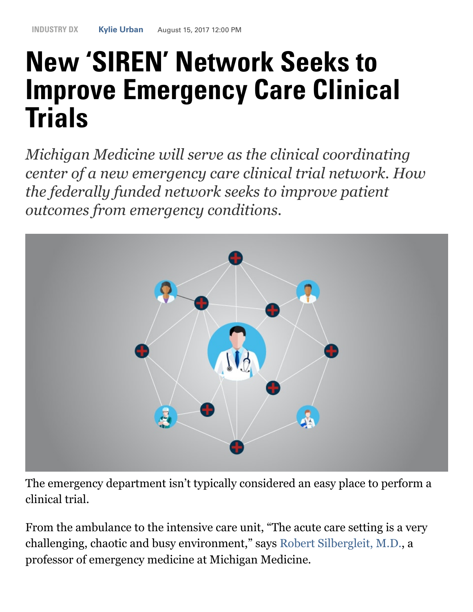# New 'SIREN' Network Seeks to Improve Emergency Care Clinical **Trials**

*Michigan Medicine will serve as the clinical coordinating center of a new emergency care clinical trial network. How the federally funded network seeks to improve patient outcomes from emergency conditions.*



The emergency department isn't typically considered an easy place to perform a clinical trial.

From the ambulance to the intensive care unit, "The acute care setting is a very challenging, chaotic and busy environment," says [Robert Silbergleit, M.D.,](http://www.uofmhealth.org/profile/1045/robert-silbergleit-md) a professor of emergency medicine at Michigan Medicine.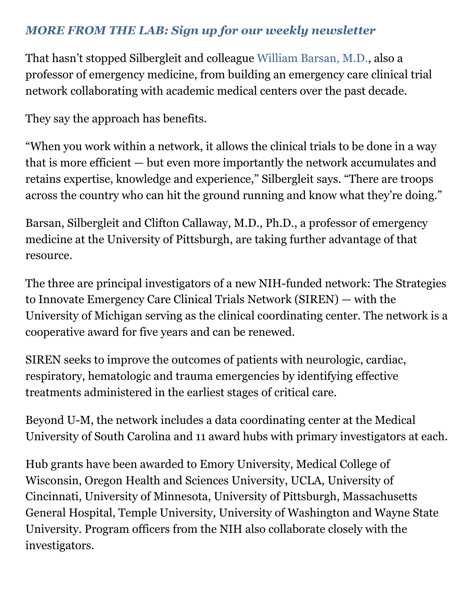#### *[MORE FROM THE LAB: Sign up for our weekly newsletter](http://labblog.uofmhealth.org/newsletter)*

That hasn't stopped Silbergleit and colleague [William Barsan, M.D.,](http://www.uofmhealth.org/profile/813/william-george-barsan-md) also a professor of emergency medicine, from building an emergency care clinical trial network collaborating with academic medical centers over the past decade.

They say the approach has benefits.

"When you work within a network, it allows the clinical trials to be done in a way that is more efficient — but even more importantly the network accumulates and retains expertise, knowledge and experience," Silbergleit says. "There are troops across the country who can hit the ground running and know what they're doing."

Barsan, Silbergleit and Clifton Callaway, M.D., Ph.D., a professor of emergency medicine at the University of Pittsburgh, are taking further advantage of that resource.

The three are principal investigators of a new NIH-funded network: The Strategies to Innovate Emergency Care Clinical Trials Network (SIREN) — with the University of Michigan serving as the clinical coordinating center. The network is a cooperative award for five years and can be renewed.

SIREN seeks to improve the outcomes of patients with neurologic, cardiac, respiratory, hematologic and trauma emergencies by identifying effective treatments administered in the earliest stages of critical care.

Beyond U-M, the network includes a data coordinating center at the Medical University of South Carolina and 11 award hubs with primary investigators at each.

Hub grants have been awarded to Emory University, Medical College of Wisconsin, Oregon Health and Sciences University, UCLA, University of Cincinnati, University of Minnesota, University of Pittsburgh, Massachusetts General Hospital, Temple University, University of Washington and Wayne State University. Program officers from the NIH also collaborate closely with the investigators.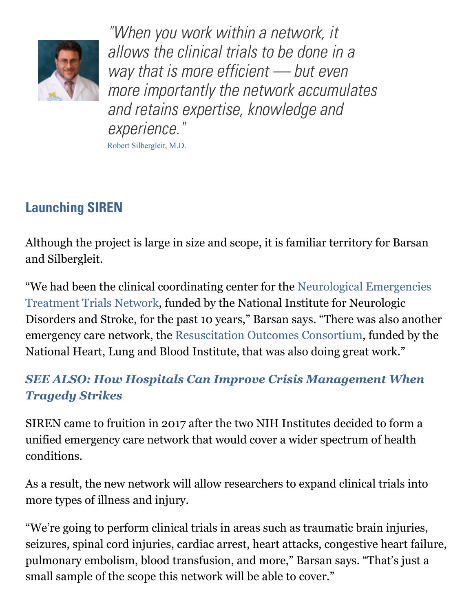

"When you work within a network, it allows the clinical trials to be done in a way that is more efficient - but even more importantly the network accumulates and retains expertise, knowledge and experience."

Robert Silbergleit, M.D.

## Launching SIREN

Although the project is large in size and scope, it is familiar territory for Barsan and Silbergleit.

["We had been the clinical coordinating center for the Neurological Emergencies](https://nett.umich.edu/) Treatment Trials Network, funded by the National Institute for Neurologic Disorders and Stroke, for the past 10 years," Barsan says. "There was also another emergency care network, the [Resuscitation Outcomes Consortium](https://roc.uwctc.org/tiki/tiki-index.php?page=roc-public-home), funded by the National Heart, Lung and Blood Institute, that was also doing great work."

### *[SEE ALSO: How Hospitals Can Improve Crisis Management When](http://labblog.uofmhealth.org/industry-dx/how-hospitals-can-improve-crisis-management-when-tragedy-strikes) Tragedy Strikes*

SIREN came to fruition in 2017 after the two NIH Institutes decided to form a unified emergency care network that would cover a wider spectrum of health conditions.

As a result, the new network will allow researchers to expand clinical trials into more types of illness and injury.

"We're going to perform clinical trials in areas such as traumatic brain injuries, seizures, spinal cord injuries, cardiac arrest, heart attacks, congestive heart failure, pulmonary embolism, blood transfusion, and more," Barsan says. "That's just a small sample of the scope this network will be able to cover."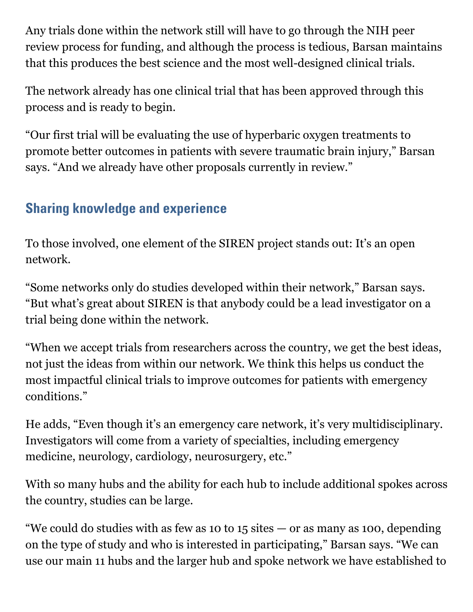Any trials done within the network still will have to go through the NIH peer review process for funding, and although the process is tedious, Barsan maintains that this produces the best science and the most well-designed clinical trials.

The network already has one clinical trial that has been approved through this process and is ready to begin.

"Our first trial will be evaluating the use of hyperbaric oxygen treatments to promote better outcomes in patients with severe traumatic brain injury," Barsan says. "And we already have other proposals currently in review."

## Sharing knowledge and experience

To those involved, one element of the SIREN project stands out: It's an open network.

"Some networks only do studies developed within their network," Barsan says. "But what's great about SIREN is that anybody could be a lead investigator on a trial being done within the network.

"When we accept trials from researchers across the country, we get the best ideas, not just the ideas from within our network. We think this helps us conduct the most impactful clinical trials to improve outcomes for patients with emergency conditions."

He adds, "Even though it's an emergency care network, it's very multidisciplinary. Investigators will come from a variety of specialties, including emergency medicine, neurology, cardiology, neurosurgery, etc."

With so many hubs and the ability for each hub to include additional spokes across the country, studies can be large.

"We could do studies with as few as 10 to 15 sites  $-$  or as many as 100, depending on the type of study and who is interested in participating," Barsan says. "We can use our main 11 hubs and the larger hub and spoke network we have established to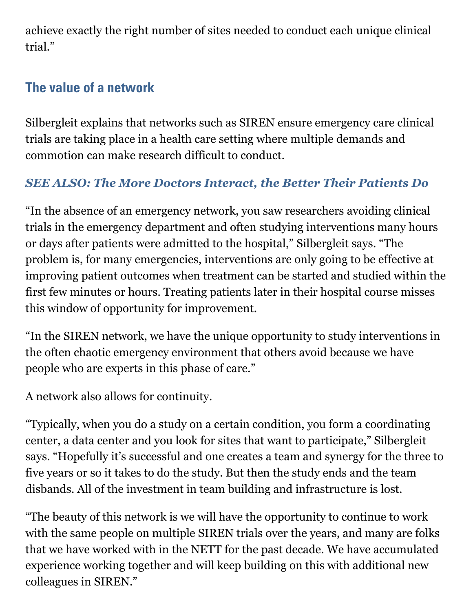achieve exactly the right number of sites needed to conduct each unique clinical trial."

## The value of a network

Silbergleit explains that networks such as SIREN ensure emergency care clinical trials are taking place in a health care setting where multiple demands and commotion can make research difficult to conduct.

### *[SEE ALSO: The More Doctors Interact, the Better Their Patients Do](http://labblog.uofmhealth.org/rounds/more-doctors-interact-better-their-patients-do)*

"In the absence of an emergency network, you saw researchers avoiding clinical trials in the emergency department and often studying interventions many hours or days after patients were admitted to the hospital," Silbergleit says. "The problem is, for many emergencies, interventions are only going to be effective at improving patient outcomes when treatment can be started and studied within the first few minutes or hours. Treating patients later in their hospital course misses this window of opportunity for improvement.

"In the SIREN network, we have the unique opportunity to study interventions in the often chaotic emergency environment that others avoid because we have people who are experts in this phase of care."

A network also allows for continuity.

"Typically, when you do a study on a certain condition, you form a coordinating center, a data center and you look for sites that want to participate," Silbergleit says. "Hopefully it's successful and one creates a team and synergy for the three to five years or so it takes to do the study. But then the study ends and the team disbands. All of the investment in team building and infrastructure is lost.

"The beauty of this network is we will have the opportunity to continue to work with the same people on multiple SIREN trials over the years, and many are folks that we have worked with in the NETT for the past decade. We have accumulated experience working together and will keep building on this with additional new colleagues in SIREN."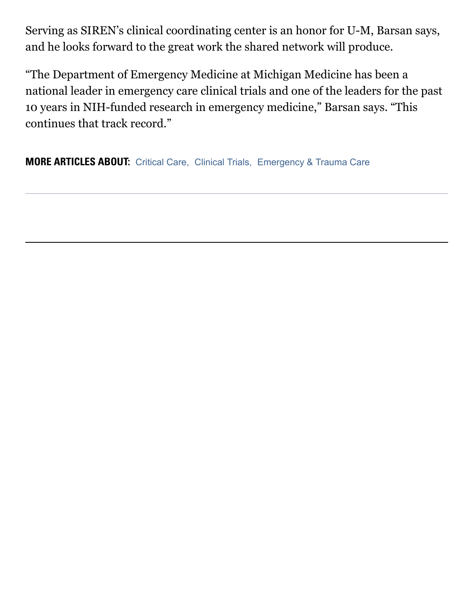Serving as SIREN's clinical coordinating center is an honor for U-M, Barsan says, and he looks forward to the great work the shared network will produce.

"The Department of Emergency Medicine at Michigan Medicine has been a national leader in emergency care clinical trials and one of the leaders for the past 10 years in NIH-funded research in emergency medicine," Barsan says. "This continues that track record."

MORE ARTICLES ABOUT: [Critical Care](https://labblog.uofmhealth.org/categories/emergency-trauma-care/critical-care), [Clinical Trials,](https://labblog.uofmhealth.org/categories/clinical-trials) [Emergency & Trauma Care](https://labblog.uofmhealth.org/categories/emergency-trauma-care)